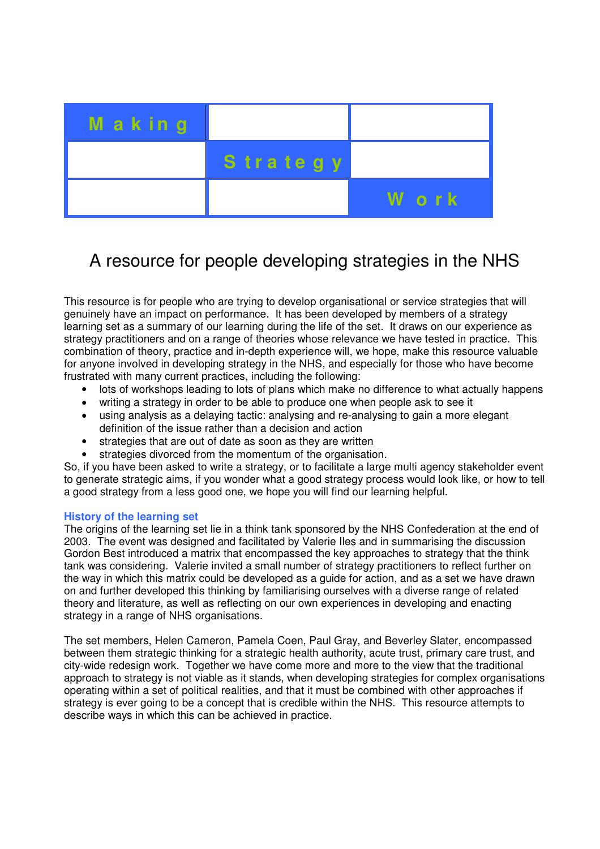| Making |                 |       |
|--------|-----------------|-------|
|        | <b>Strategy</b> |       |
|        |                 | W ork |

### A resource for people developing strategies in the NHS

This resource is for people who are trying to develop organisational or service strategies that will genuinely have an impact on performance. It has been developed by members of a strategy learning set as a summary of our learning during the life of the set. It draws on our experience as strategy practitioners and on a range of theories whose relevance we have tested in practice. This combination of theory, practice and in-depth experience will, we hope, make this resource valuable for anyone involved in developing strategy in the NHS, and especially for those who have become frustrated with many current practices, including the following:

- lots of workshops leading to lots of plans which make no difference to what actually happens
- writing a strategy in order to be able to produce one when people ask to see it
- using analysis as a delaying tactic: analysing and re-analysing to gain a more elegant definition of the issue rather than a decision and action
- strategies that are out of date as soon as they are written
- strategies divorced from the momentum of the organisation.

So, if you have been asked to write a strategy, or to facilitate a large multi agency stakeholder event to generate strategic aims, if you wonder what a good strategy process would look like, or how to tell a good strategy from a less good one, we hope you will find our learning helpful.

#### **History of the learning set**

The origins of the learning set lie in a think tank sponsored by the NHS Confederation at the end of 2003. The event was designed and facilitated by Valerie Iles and in summarising the discussion Gordon Best introduced a matrix that encompassed the key approaches to strategy that the think tank was considering. Valerie invited a small number of strategy practitioners to reflect further on the way in which this matrix could be developed as a guide for action, and as a set we have drawn on and further developed this thinking by familiarising ourselves with a diverse range of related theory and literature, as well as reflecting on our own experiences in developing and enacting strategy in a range of NHS organisations.

The set members, Helen Cameron, Pamela Coen, Paul Gray, and Beverley Slater, encompassed between them strategic thinking for a strategic health authority, acute trust, primary care trust, and city-wide redesign work. Together we have come more and more to the view that the traditional approach to strategy is not viable as it stands, when developing strategies for complex organisations operating within a set of political realities, and that it must be combined with other approaches if strategy is ever going to be a concept that is credible within the NHS. This resource attempts to describe ways in which this can be achieved in practice.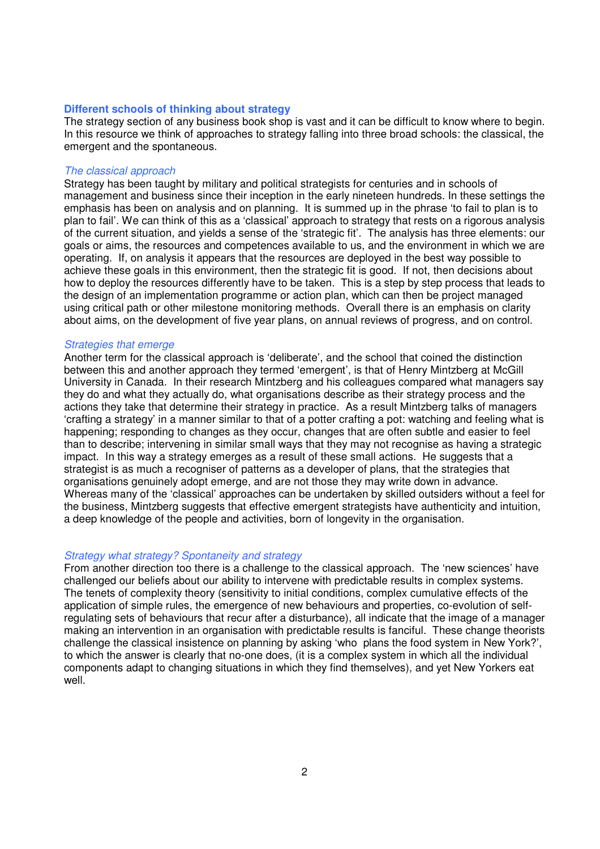#### **Different schools of thinking about strategy**

The strategy section of any business book shop is vast and it can be difficult to know where to begin. In this resource we think of approaches to strategy falling into three broad schools: the classical, the emergent and the spontaneous.

#### The classical approach

Strategy has been taught by military and political strategists for centuries and in schools of management and business since their inception in the early nineteen hundreds. In these settings the emphasis has been on analysis and on planning. It is summed up in the phrase 'to fail to plan is to plan to fail'. We can think of this as a 'classical' approach to strategy that rests on a rigorous analysis of the current situation, and yields a sense of the 'strategic fit'. The analysis has three elements: our goals or aims, the resources and competences available to us, and the environment in which we are operating. If, on analysis it appears that the resources are deployed in the best way possible to achieve these goals in this environment, then the strategic fit is good. If not, then decisions about how to deploy the resources differently have to be taken. This is a step by step process that leads to the design of an implementation programme or action plan, which can then be project managed using critical path or other milestone monitoring methods. Overall there is an emphasis on clarity about aims, on the development of five year plans, on annual reviews of progress, and on control.

#### Strategies that emerge

Another term for the classical approach is 'deliberate', and the school that coined the distinction between this and another approach they termed 'emergent', is that of Henry Mintzberg at McGill University in Canada. In their research Mintzberg and his colleagues compared what managers say they do and what they actually do, what organisations describe as their strategy process and the actions they take that determine their strategy in practice. As a result Mintzberg talks of managers 'crafting a strategy' in a manner similar to that of a potter crafting a pot: watching and feeling what is happening; responding to changes as they occur, changes that are often subtle and easier to feel than to describe; intervening in similar small ways that they may not recognise as having a strategic impact. In this way a strategy emerges as a result of these small actions. He suggests that a strategist is as much a recogniser of patterns as a developer of plans, that the strategies that organisations genuinely adopt emerge, and are not those they may write down in advance. Whereas many of the 'classical' approaches can be undertaken by skilled outsiders without a feel for the business, Mintzberg suggests that effective emergent strategists have authenticity and intuition, a deep knowledge of the people and activities, born of longevity in the organisation.

#### Strategy what strategy? Spontaneity and strategy

From another direction too there is a challenge to the classical approach. The 'new sciences' have challenged our beliefs about our ability to intervene with predictable results in complex systems. The tenets of complexity theory (sensitivity to initial conditions, complex cumulative effects of the application of simple rules, the emergence of new behaviours and properties, co-evolution of selfregulating sets of behaviours that recur after a disturbance), all indicate that the image of a manager making an intervention in an organisation with predictable results is fanciful. These change theorists challenge the classical insistence on planning by asking 'who plans the food system in New York?', to which the answer is clearly that no-one does, (it is a complex system in which all the individual components adapt to changing situations in which they find themselves), and yet New Yorkers eat well.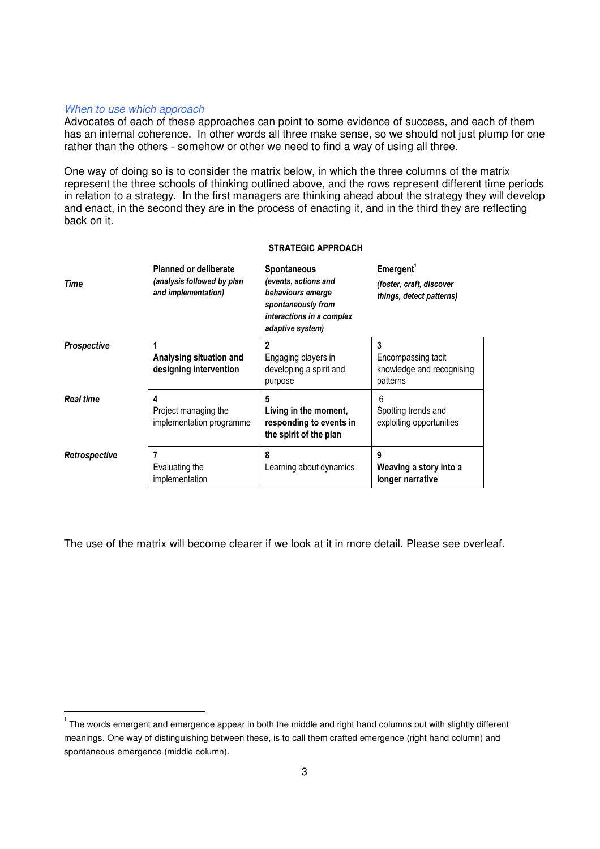#### When to use which approach

Advocates of each of these approaches can point to some evidence of success, and each of them has an internal coherence. In other words all three make sense, so we should not just plump for one rather than the others - somehow or other we need to find a way of using all three.

One way of doing so is to consider the matrix below, in which the three columns of the matrix represent the three schools of thinking outlined above, and the rows represent different time periods in relation to a strategy. In the first managers are thinking ahead about the strategy they will develop and enact, in the second they are in the process of enacting it, and in the third they are reflecting back on it.

| Time               | <b>Planned or deliberate</b><br>(analysis followed by plan<br>and implementation) | <b>Spontaneous</b><br>(events, actions and<br>behaviours emerge<br>spontaneously from<br>interactions in a complex<br>adaptive system) | Emergent <sup>1</sup><br>(foster, craft, discover<br>things, detect patterns) |
|--------------------|-----------------------------------------------------------------------------------|----------------------------------------------------------------------------------------------------------------------------------------|-------------------------------------------------------------------------------|
| <b>Prospective</b> | Analysing situation and<br>designing intervention                                 | $\mathbf{2}$<br>Engaging players in<br>developing a spirit and<br>purpose                                                              | 3<br>Encompassing tacit<br>knowledge and recognising<br>patterns              |
| <b>Real time</b>   | 4<br>Project managing the<br>implementation programme                             | 5<br>Living in the moment,<br>responding to events in<br>the spirit of the plan                                                        | 6<br>Spotting trends and<br>exploiting opportunities                          |
| Retrospective      | Evaluating the<br>implementation                                                  | 8<br>Learning about dynamics                                                                                                           | 9<br>Weaving a story into a<br>longer narrative                               |

#### STRATEGIC APPROACH

The use of the matrix will become clearer if we look at it in more detail. Please see overleaf.

 $1$  The words emergent and emergence appear in both the middle and right hand columns but with slightly different meanings. One way of distinguishing between these, is to call them crafted emergence (right hand column) and spontaneous emergence (middle column).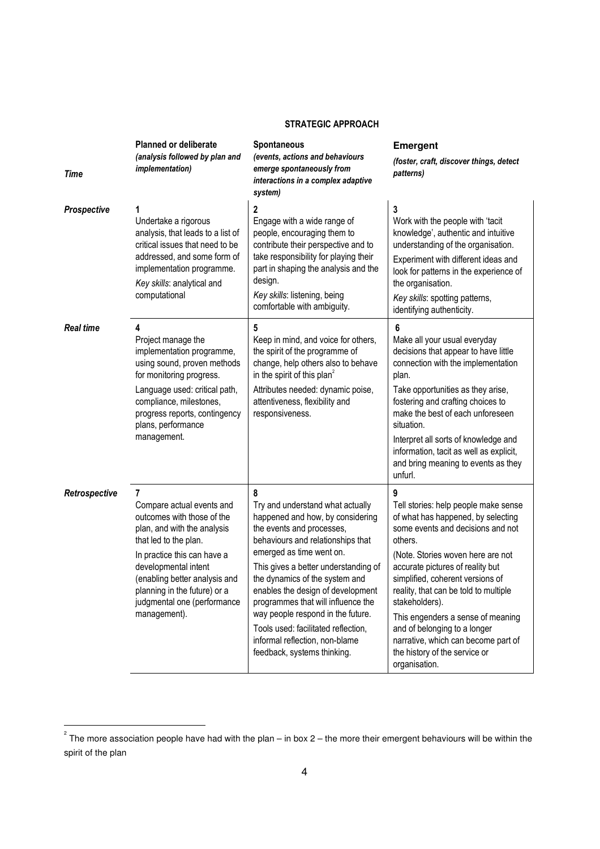#### STRATEGIC APPROACH

|                    | <b>Planned or deliberate</b>                                                                                                                                                                                                                                                                | <b>Spontaneous</b>                                                                                                                                                                                                                                                                                                                                                                                                                                                        | <b>Emergent</b>                                                                                                                                                                                                                                                                                                                                                                                                                                                       |
|--------------------|---------------------------------------------------------------------------------------------------------------------------------------------------------------------------------------------------------------------------------------------------------------------------------------------|---------------------------------------------------------------------------------------------------------------------------------------------------------------------------------------------------------------------------------------------------------------------------------------------------------------------------------------------------------------------------------------------------------------------------------------------------------------------------|-----------------------------------------------------------------------------------------------------------------------------------------------------------------------------------------------------------------------------------------------------------------------------------------------------------------------------------------------------------------------------------------------------------------------------------------------------------------------|
| Time               | (analysis followed by plan and<br><i>implementation)</i>                                                                                                                                                                                                                                    | (events, actions and behaviours<br>emerge spontaneously from<br>interactions in a complex adaptive<br>system)                                                                                                                                                                                                                                                                                                                                                             | (foster, craft, discover things, detect<br>patterns)                                                                                                                                                                                                                                                                                                                                                                                                                  |
| <b>Prospective</b> | Undertake a rigorous<br>analysis, that leads to a list of<br>critical issues that need to be<br>addressed, and some form of<br>implementation programme.<br>Key skills: analytical and<br>computational                                                                                     | 2<br>Engage with a wide range of<br>people, encouraging them to<br>contribute their perspective and to<br>take responsibility for playing their<br>part in shaping the analysis and the<br>design.<br>Key skills: listening, being<br>comfortable with ambiguity.                                                                                                                                                                                                         | 3<br>Work with the people with 'tacit<br>knowledge', authentic and intuitive<br>understanding of the organisation.<br>Experiment with different ideas and<br>look for patterns in the experience of<br>the organisation.<br>Key skills: spotting patterns,<br>identifying authenticity.                                                                                                                                                                               |
| <b>Real time</b>   | 4<br>Project manage the<br>implementation programme,<br>using sound, proven methods<br>for monitoring progress.<br>Language used: critical path,<br>compliance, milestones,<br>progress reports, contingency<br>plans, performance<br>management.                                           | 5<br>Keep in mind, and voice for others,<br>the spirit of the programme of<br>change, help others also to behave<br>in the spirit of this plan <sup>2</sup><br>Attributes needed: dynamic poise,<br>attentiveness, flexibility and<br>responsiveness.                                                                                                                                                                                                                     | 6<br>Make all your usual everyday<br>decisions that appear to have little<br>connection with the implementation<br>plan.<br>Take opportunities as they arise,<br>fostering and crafting choices to<br>make the best of each unforeseen<br>situation.<br>Interpret all sorts of knowledge and<br>information, tacit as well as explicit,<br>and bring meaning to events as they<br>unfurl.                                                                             |
| Retrospective      | 7<br>Compare actual events and<br>outcomes with those of the<br>plan, and with the analysis<br>that led to the plan.<br>In practice this can have a<br>developmental intent<br>(enabling better analysis and<br>planning in the future) or a<br>judgmental one (performance<br>management). | 8<br>Try and understand what actually<br>happened and how, by considering<br>the events and processes,<br>behaviours and relationships that<br>emerged as time went on.<br>This gives a better understanding of<br>the dynamics of the system and<br>enables the design of development<br>programmes that will influence the<br>way people respond in the future.<br>Tools used: facilitated reflection,<br>informal reflection, non-blame<br>feedback, systems thinking. | 9<br>Tell stories: help people make sense<br>of what has happened, by selecting<br>some events and decisions and not<br>others.<br>(Note. Stories woven here are not<br>accurate pictures of reality but<br>simplified, coherent versions of<br>reality, that can be told to multiple<br>stakeholders).<br>This engenders a sense of meaning<br>and of belonging to a longer<br>narrative, which can become part of<br>the history of the service or<br>organisation. |

 $\frac{2}{\pi}$ The more association people have had with the plan – in box 2 – the more their emergent behaviours will be within the spirit of the plan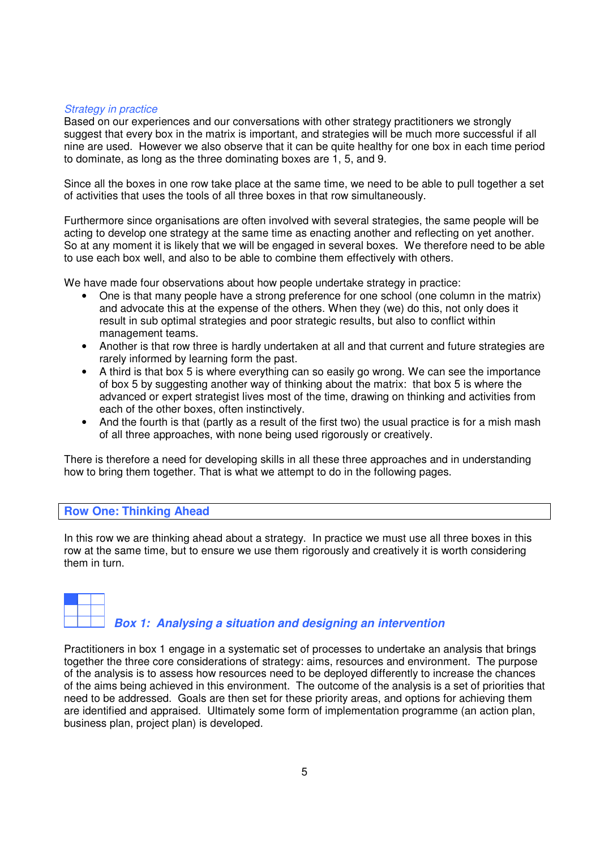#### Strategy in practice

Based on our experiences and our conversations with other strategy practitioners we strongly suggest that every box in the matrix is important, and strategies will be much more successful if all nine are used. However we also observe that it can be quite healthy for one box in each time period to dominate, as long as the three dominating boxes are 1, 5, and 9.

Since all the boxes in one row take place at the same time, we need to be able to pull together a set of activities that uses the tools of all three boxes in that row simultaneously.

Furthermore since organisations are often involved with several strategies, the same people will be acting to develop one strategy at the same time as enacting another and reflecting on yet another. So at any moment it is likely that we will be engaged in several boxes. We therefore need to be able to use each box well, and also to be able to combine them effectively with others.

We have made four observations about how people undertake strategy in practice:

- One is that many people have a strong preference for one school (one column in the matrix) and advocate this at the expense of the others. When they (we) do this, not only does it result in sub optimal strategies and poor strategic results, but also to conflict within management teams.
- Another is that row three is hardly undertaken at all and that current and future strategies are rarely informed by learning form the past.
- A third is that box 5 is where everything can so easily go wrong. We can see the importance of box 5 by suggesting another way of thinking about the matrix: that box 5 is where the advanced or expert strategist lives most of the time, drawing on thinking and activities from each of the other boxes, often instinctively.
- And the fourth is that (partly as a result of the first two) the usual practice is for a mish mash of all three approaches, with none being used rigorously or creatively.

There is therefore a need for developing skills in all these three approaches and in understanding how to bring them together. That is what we attempt to do in the following pages.

#### **Row One: Thinking Ahead**

In this row we are thinking ahead about a strategy. In practice we must use all three boxes in this row at the same time, but to ensure we use them rigorously and creatively it is worth considering them in turn.

## **Box 1: Analysing a situation and designing an intervention**

Practitioners in box 1 engage in a systematic set of processes to undertake an analysis that brings together the three core considerations of strategy: aims, resources and environment. The purpose of the analysis is to assess how resources need to be deployed differently to increase the chances of the aims being achieved in this environment. The outcome of the analysis is a set of priorities that need to be addressed. Goals are then set for these priority areas, and options for achieving them are identified and appraised. Ultimately some form of implementation programme (an action plan, business plan, project plan) is developed.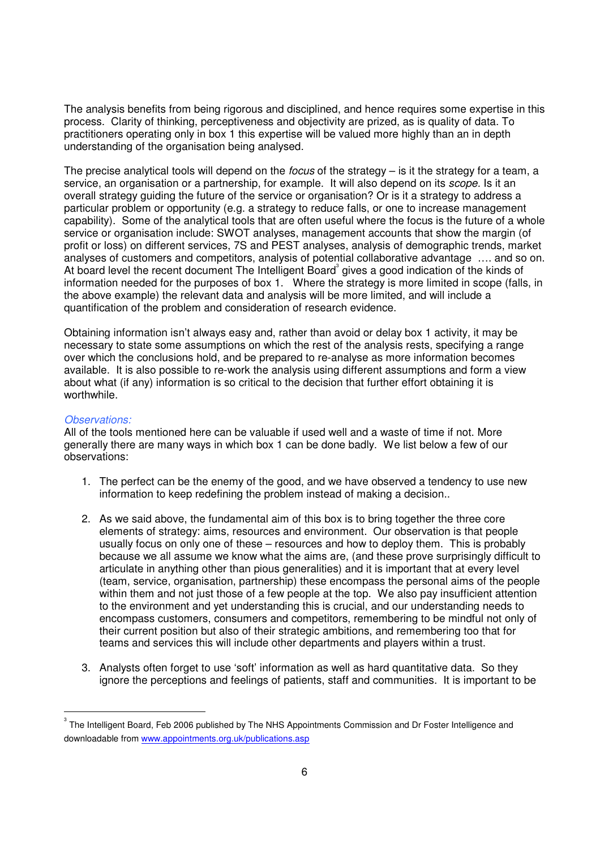The analysis benefits from being rigorous and disciplined, and hence requires some expertise in this process. Clarity of thinking, perceptiveness and objectivity are prized, as is quality of data. To practitioners operating only in box 1 this expertise will be valued more highly than an in depth understanding of the organisation being analysed.

The precise analytical tools will depend on the *focus* of the strategy  $-$  is it the strategy for a team, a service, an organisation or a partnership, for example. It will also depend on its *scope*, Is it an overall strategy guiding the future of the service or organisation? Or is it a strategy to address a particular problem or opportunity (e.g. a strategy to reduce falls, or one to increase management capability). Some of the analytical tools that are often useful where the focus is the future of a whole service or organisation include: SWOT analyses, management accounts that show the margin (of profit or loss) on different services, 7S and PEST analyses, analysis of demographic trends, market analyses of customers and competitors, analysis of potential collaborative advantage …. and so on. At board level the recent document The Intelligent Board<sup>3</sup> gives a good indication of the kinds of information needed for the purposes of box 1. Where the strategy is more limited in scope (falls, in the above example) the relevant data and analysis will be more limited, and will include a quantification of the problem and consideration of research evidence.

Obtaining information isn't always easy and, rather than avoid or delay box 1 activity, it may be necessary to state some assumptions on which the rest of the analysis rests, specifying a range over which the conclusions hold, and be prepared to re-analyse as more information becomes available. It is also possible to re-work the analysis using different assumptions and form a view about what (if any) information is so critical to the decision that further effort obtaining it is worthwhile.

#### Observations:

All of the tools mentioned here can be valuable if used well and a waste of time if not. More generally there are many ways in which box 1 can be done badly. We list below a few of our observations:

- 1. The perfect can be the enemy of the good, and we have observed a tendency to use new information to keep redefining the problem instead of making a decision..
- 2. As we said above, the fundamental aim of this box is to bring together the three core elements of strategy: aims, resources and environment. Our observation is that people usually focus on only one of these – resources and how to deploy them. This is probably because we all assume we know what the aims are, (and these prove surprisingly difficult to articulate in anything other than pious generalities) and it is important that at every level (team, service, organisation, partnership) these encompass the personal aims of the people within them and not just those of a few people at the top. We also pay insufficient attention to the environment and yet understanding this is crucial, and our understanding needs to encompass customers, consumers and competitors, remembering to be mindful not only of their current position but also of their strategic ambitions, and remembering too that for teams and services this will include other departments and players within a trust.
- 3. Analysts often forget to use 'soft' information as well as hard quantitative data. So they ignore the perceptions and feelings of patients, staff and communities. It is important to be

<sup>3</sup> The Intelligent Board, Feb 2006 published by The NHS Appointments Commission and Dr Foster Intelligence and downloadable from www.appointments.org.uk/publications.asp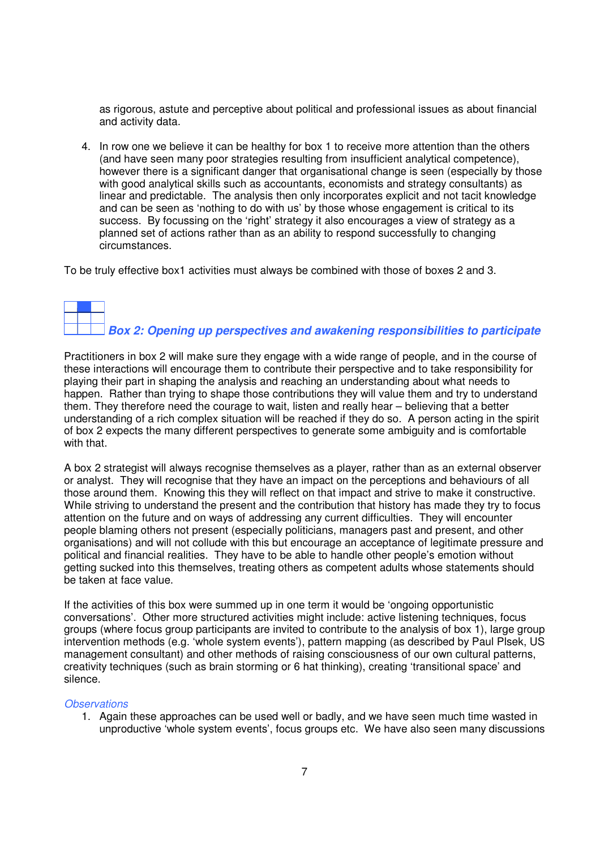as rigorous, astute and perceptive about political and professional issues as about financial and activity data.

4. In row one we believe it can be healthy for box 1 to receive more attention than the others (and have seen many poor strategies resulting from insufficient analytical competence), however there is a significant danger that organisational change is seen (especially by those with good analytical skills such as accountants, economists and strategy consultants) as linear and predictable. The analysis then only incorporates explicit and not tacit knowledge and can be seen as 'nothing to do with us' by those whose engagement is critical to its success. By focussing on the 'right' strategy it also encourages a view of strategy as a planned set of actions rather than as an ability to respond successfully to changing circumstances.

To be truly effective box1 activities must always be combined with those of boxes 2 and 3.

# **Box 2: Opening up perspectives and awakening responsibilities to participate**

Practitioners in box 2 will make sure they engage with a wide range of people, and in the course of these interactions will encourage them to contribute their perspective and to take responsibility for playing their part in shaping the analysis and reaching an understanding about what needs to happen. Rather than trying to shape those contributions they will value them and try to understand them. They therefore need the courage to wait, listen and really hear – believing that a better understanding of a rich complex situation will be reached if they do so. A person acting in the spirit of box 2 expects the many different perspectives to generate some ambiguity and is comfortable with that.

A box 2 strategist will always recognise themselves as a player, rather than as an external observer or analyst. They will recognise that they have an impact on the perceptions and behaviours of all those around them. Knowing this they will reflect on that impact and strive to make it constructive. While striving to understand the present and the contribution that history has made they try to focus attention on the future and on ways of addressing any current difficulties. They will encounter people blaming others not present (especially politicians, managers past and present, and other organisations) and will not collude with this but encourage an acceptance of legitimate pressure and political and financial realities. They have to be able to handle other people's emotion without getting sucked into this themselves, treating others as competent adults whose statements should be taken at face value.

If the activities of this box were summed up in one term it would be 'ongoing opportunistic conversations'. Other more structured activities might include: active listening techniques, focus groups (where focus group participants are invited to contribute to the analysis of box 1), large group intervention methods (e.g. 'whole system events'), pattern mapping (as described by Paul Plsek, US management consultant) and other methods of raising consciousness of our own cultural patterns, creativity techniques (such as brain storming or 6 hat thinking), creating 'transitional space' and silence.

#### **Observations**

1. Again these approaches can be used well or badly, and we have seen much time wasted in unproductive 'whole system events', focus groups etc. We have also seen many discussions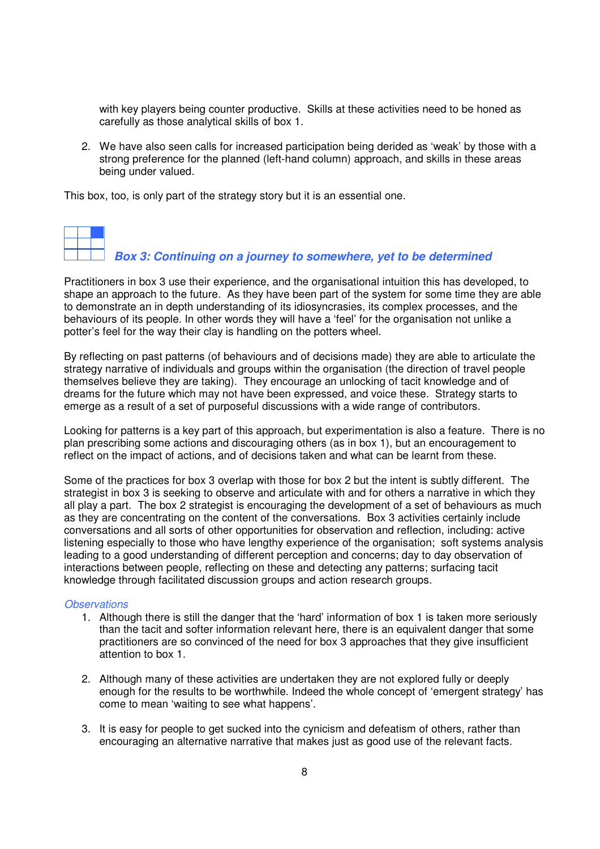with key players being counter productive. Skills at these activities need to be honed as carefully as those analytical skills of box 1.

2. We have also seen calls for increased participation being derided as 'weak' by those with a strong preference for the planned (left-hand column) approach, and skills in these areas being under valued.

This box, too, is only part of the strategy story but it is an essential one.



#### **Box 3: Continuing on a journey to somewhere, yet to be determined**

Practitioners in box 3 use their experience, and the organisational intuition this has developed, to shape an approach to the future. As they have been part of the system for some time they are able to demonstrate an in depth understanding of its idiosyncrasies, its complex processes, and the behaviours of its people. In other words they will have a 'feel' for the organisation not unlike a potter's feel for the way their clay is handling on the potters wheel.

By reflecting on past patterns (of behaviours and of decisions made) they are able to articulate the strategy narrative of individuals and groups within the organisation (the direction of travel people themselves believe they are taking). They encourage an unlocking of tacit knowledge and of dreams for the future which may not have been expressed, and voice these. Strategy starts to emerge as a result of a set of purposeful discussions with a wide range of contributors.

Looking for patterns is a key part of this approach, but experimentation is also a feature. There is no plan prescribing some actions and discouraging others (as in box 1), but an encouragement to reflect on the impact of actions, and of decisions taken and what can be learnt from these.

Some of the practices for box 3 overlap with those for box 2 but the intent is subtly different. The strategist in box 3 is seeking to observe and articulate with and for others a narrative in which they all play a part. The box 2 strategist is encouraging the development of a set of behaviours as much as they are concentrating on the content of the conversations. Box 3 activities certainly include conversations and all sorts of other opportunities for observation and reflection, including: active listening especially to those who have lengthy experience of the organisation; soft systems analysis leading to a good understanding of different perception and concerns; day to day observation of interactions between people, reflecting on these and detecting any patterns; surfacing tacit knowledge through facilitated discussion groups and action research groups.

#### **Observations**

- 1. Although there is still the danger that the 'hard' information of box 1 is taken more seriously than the tacit and softer information relevant here, there is an equivalent danger that some practitioners are so convinced of the need for box 3 approaches that they give insufficient attention to box 1.
- 2. Although many of these activities are undertaken they are not explored fully or deeply enough for the results to be worthwhile. Indeed the whole concept of 'emergent strategy' has come to mean 'waiting to see what happens'.
- 3. It is easy for people to get sucked into the cynicism and defeatism of others, rather than encouraging an alternative narrative that makes just as good use of the relevant facts.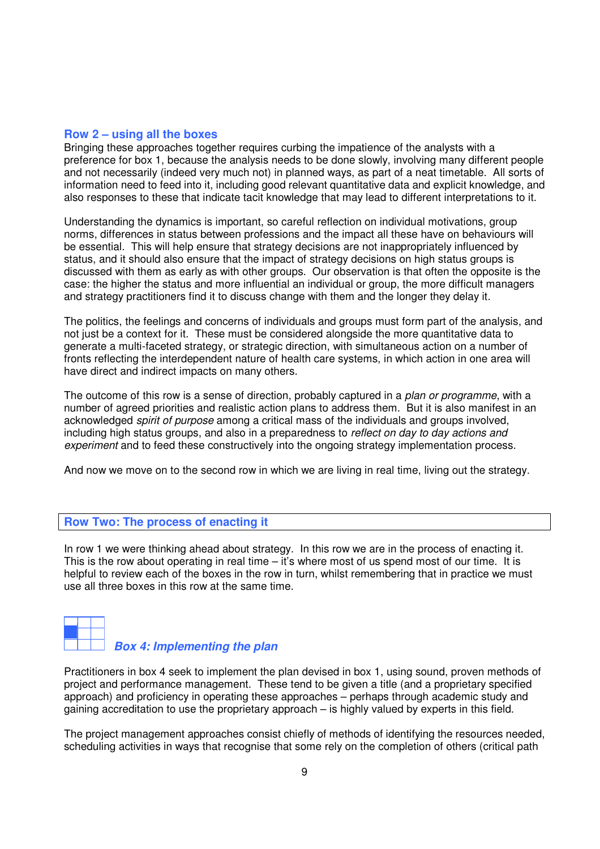#### **Row 2 – using all the boxes**

Bringing these approaches together requires curbing the impatience of the analysts with a preference for box 1, because the analysis needs to be done slowly, involving many different people and not necessarily (indeed very much not) in planned ways, as part of a neat timetable. All sorts of information need to feed into it, including good relevant quantitative data and explicit knowledge, and also responses to these that indicate tacit knowledge that may lead to different interpretations to it.

Understanding the dynamics is important, so careful reflection on individual motivations, group norms, differences in status between professions and the impact all these have on behaviours will be essential. This will help ensure that strategy decisions are not inappropriately influenced by status, and it should also ensure that the impact of strategy decisions on high status groups is discussed with them as early as with other groups. Our observation is that often the opposite is the case: the higher the status and more influential an individual or group, the more difficult managers and strategy practitioners find it to discuss change with them and the longer they delay it.

The politics, the feelings and concerns of individuals and groups must form part of the analysis, and not just be a context for it. These must be considered alongside the more quantitative data to generate a multi-faceted strategy, or strategic direction, with simultaneous action on a number of fronts reflecting the interdependent nature of health care systems, in which action in one area will have direct and indirect impacts on many others.

The outcome of this row is a sense of direction, probably captured in a *plan or programme*, with a number of agreed priorities and realistic action plans to address them. But it is also manifest in an acknowledged *spirit of purpose* among a critical mass of the individuals and groups involved, including high status groups, and also in a preparedness to *reflect on day to day actions and* experiment and to feed these constructively into the ongoing strategy implementation process.

And now we move on to the second row in which we are living in real time, living out the strategy.

#### **Row Two: The process of enacting it**

In row 1 we were thinking ahead about strategy. In this row we are in the process of enacting it. This is the row about operating in real time – it's where most of us spend most of our time. It is helpful to review each of the boxes in the row in turn, whilst remembering that in practice we must use all three boxes in this row at the same time.



#### **Box 4: Implementing the plan**

Practitioners in box 4 seek to implement the plan devised in box 1, using sound, proven methods of project and performance management. These tend to be given a title (and a proprietary specified approach) and proficiency in operating these approaches – perhaps through academic study and gaining accreditation to use the proprietary approach – is highly valued by experts in this field.

The project management approaches consist chiefly of methods of identifying the resources needed, scheduling activities in ways that recognise that some rely on the completion of others (critical path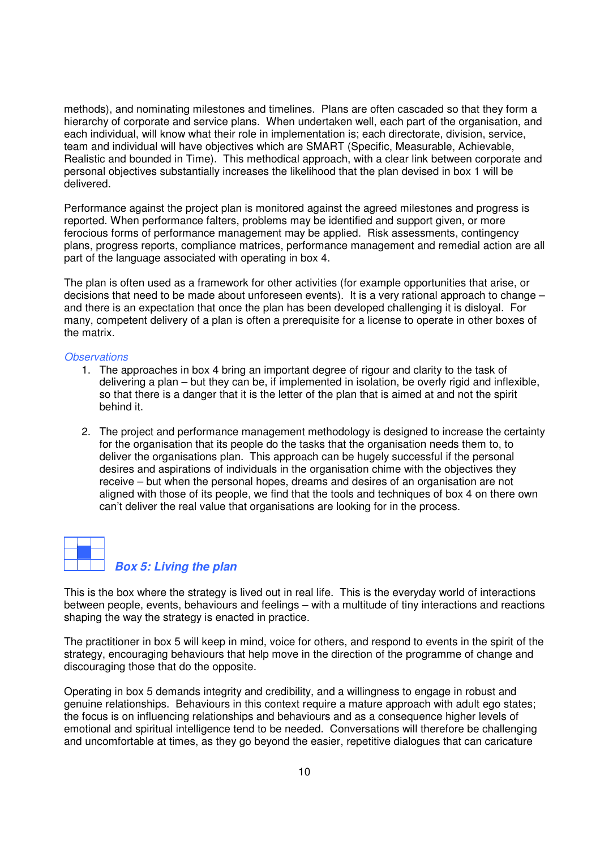methods), and nominating milestones and timelines. Plans are often cascaded so that they form a hierarchy of corporate and service plans. When undertaken well, each part of the organisation, and each individual, will know what their role in implementation is; each directorate, division, service, team and individual will have objectives which are SMART (Specific, Measurable, Achievable, Realistic and bounded in Time). This methodical approach, with a clear link between corporate and personal objectives substantially increases the likelihood that the plan devised in box 1 will be delivered.

Performance against the project plan is monitored against the agreed milestones and progress is reported. When performance falters, problems may be identified and support given, or more ferocious forms of performance management may be applied. Risk assessments, contingency plans, progress reports, compliance matrices, performance management and remedial action are all part of the language associated with operating in box 4.

The plan is often used as a framework for other activities (for example opportunities that arise, or decisions that need to be made about unforeseen events). It is a very rational approach to change – and there is an expectation that once the plan has been developed challenging it is disloyal. For many, competent delivery of a plan is often a prerequisite for a license to operate in other boxes of the matrix.

#### **Observations**

- 1. The approaches in box 4 bring an important degree of rigour and clarity to the task of delivering a plan – but they can be, if implemented in isolation, be overly rigid and inflexible, so that there is a danger that it is the letter of the plan that is aimed at and not the spirit behind it.
- 2. The project and performance management methodology is designed to increase the certainty for the organisation that its people do the tasks that the organisation needs them to, to deliver the organisations plan. This approach can be hugely successful if the personal desires and aspirations of individuals in the organisation chime with the objectives they receive – but when the personal hopes, dreams and desires of an organisation are not aligned with those of its people, we find that the tools and techniques of box 4 on there own can't deliver the real value that organisations are looking for in the process.



This is the box where the strategy is lived out in real life. This is the everyday world of interactions between people, events, behaviours and feelings – with a multitude of tiny interactions and reactions shaping the way the strategy is enacted in practice.

The practitioner in box 5 will keep in mind, voice for others, and respond to events in the spirit of the strategy, encouraging behaviours that help move in the direction of the programme of change and discouraging those that do the opposite.

Operating in box 5 demands integrity and credibility, and a willingness to engage in robust and genuine relationships. Behaviours in this context require a mature approach with adult ego states; the focus is on influencing relationships and behaviours and as a consequence higher levels of emotional and spiritual intelligence tend to be needed. Conversations will therefore be challenging and uncomfortable at times, as they go beyond the easier, repetitive dialogues that can caricature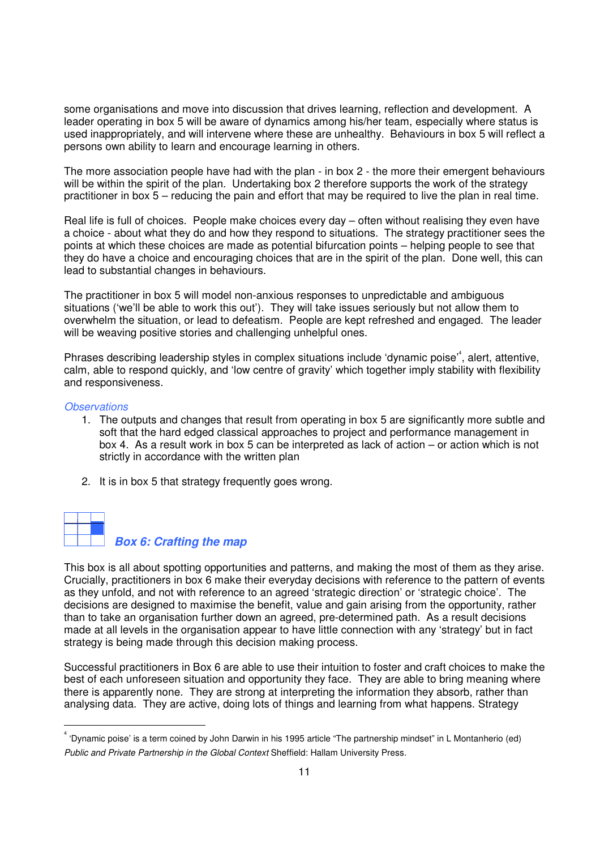some organisations and move into discussion that drives learning, reflection and development. A leader operating in box 5 will be aware of dynamics among his/her team, especially where status is used inappropriately, and will intervene where these are unhealthy. Behaviours in box 5 will reflect a persons own ability to learn and encourage learning in others.

The more association people have had with the plan - in box 2 - the more their emergent behaviours will be within the spirit of the plan. Undertaking box 2 therefore supports the work of the strategy practitioner in box 5 – reducing the pain and effort that may be required to live the plan in real time.

Real life is full of choices. People make choices every day – often without realising they even have a choice - about what they do and how they respond to situations. The strategy practitioner sees the points at which these choices are made as potential bifurcation points – helping people to see that they do have a choice and encouraging choices that are in the spirit of the plan. Done well, this can lead to substantial changes in behaviours.

The practitioner in box 5 will model non-anxious responses to unpredictable and ambiguous situations ('we'll be able to work this out'). They will take issues seriously but not allow them to overwhelm the situation, or lead to defeatism. People are kept refreshed and engaged. The leader will be weaving positive stories and challenging unhelpful ones.

Phrases describing leadership styles in complex situations include 'dynamic poise'<sup>4</sup>, alert, attentive, calm, able to respond quickly, and 'low centre of gravity' which together imply stability with flexibility and responsiveness.

#### **Observations**

- 1. The outputs and changes that result from operating in box 5 are significantly more subtle and soft that the hard edged classical approaches to project and performance management in box 4. As a result work in box 5 can be interpreted as lack of action – or action which is not strictly in accordance with the written plan
- 2. It is in box 5 that strategy frequently goes wrong.



 $\overline{a}$ 

#### **Box 6: Crafting the map**

This box is all about spotting opportunities and patterns, and making the most of them as they arise. Crucially, practitioners in box 6 make their everyday decisions with reference to the pattern of events as they unfold, and not with reference to an agreed 'strategic direction' or 'strategic choice'. The decisions are designed to maximise the benefit, value and gain arising from the opportunity, rather than to take an organisation further down an agreed, pre-determined path. As a result decisions made at all levels in the organisation appear to have little connection with any 'strategy' but in fact strategy is being made through this decision making process.

Successful practitioners in Box 6 are able to use their intuition to foster and craft choices to make the best of each unforeseen situation and opportunity they face. They are able to bring meaning where there is apparently none. They are strong at interpreting the information they absorb, rather than analysing data. They are active, doing lots of things and learning from what happens. Strategy

<sup>4</sup> 'Dynamic poise' is a term coined by John Darwin in his 1995 article "The partnership mindset" in L Montanherio (ed) Public and Private Partnership in the Global Context Sheffield: Hallam University Press.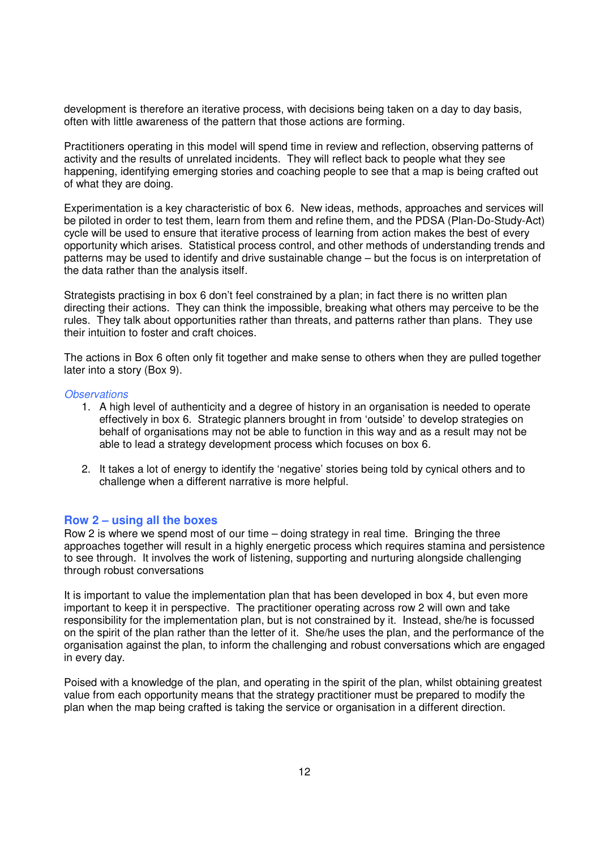development is therefore an iterative process, with decisions being taken on a day to day basis, often with little awareness of the pattern that those actions are forming.

Practitioners operating in this model will spend time in review and reflection, observing patterns of activity and the results of unrelated incidents. They will reflect back to people what they see happening, identifying emerging stories and coaching people to see that a map is being crafted out of what they are doing.

Experimentation is a key characteristic of box 6. New ideas, methods, approaches and services will be piloted in order to test them, learn from them and refine them, and the PDSA (Plan-Do-Study-Act) cycle will be used to ensure that iterative process of learning from action makes the best of every opportunity which arises. Statistical process control, and other methods of understanding trends and patterns may be used to identify and drive sustainable change – but the focus is on interpretation of the data rather than the analysis itself.

Strategists practising in box 6 don't feel constrained by a plan; in fact there is no written plan directing their actions. They can think the impossible, breaking what others may perceive to be the rules. They talk about opportunities rather than threats, and patterns rather than plans. They use their intuition to foster and craft choices.

The actions in Box 6 often only fit together and make sense to others when they are pulled together later into a story (Box 9).

#### **Observations**

- 1. A high level of authenticity and a degree of history in an organisation is needed to operate effectively in box 6. Strategic planners brought in from 'outside' to develop strategies on behalf of organisations may not be able to function in this way and as a result may not be able to lead a strategy development process which focuses on box 6.
- 2. It takes a lot of energy to identify the 'negative' stories being told by cynical others and to challenge when a different narrative is more helpful.

#### **Row 2 – using all the boxes**

Row 2 is where we spend most of our time – doing strategy in real time. Bringing the three approaches together will result in a highly energetic process which requires stamina and persistence to see through. It involves the work of listening, supporting and nurturing alongside challenging through robust conversations

It is important to value the implementation plan that has been developed in box 4, but even more important to keep it in perspective. The practitioner operating across row 2 will own and take responsibility for the implementation plan, but is not constrained by it. Instead, she/he is focussed on the spirit of the plan rather than the letter of it. She/he uses the plan, and the performance of the organisation against the plan, to inform the challenging and robust conversations which are engaged in every day.

Poised with a knowledge of the plan, and operating in the spirit of the plan, whilst obtaining greatest value from each opportunity means that the strategy practitioner must be prepared to modify the plan when the map being crafted is taking the service or organisation in a different direction.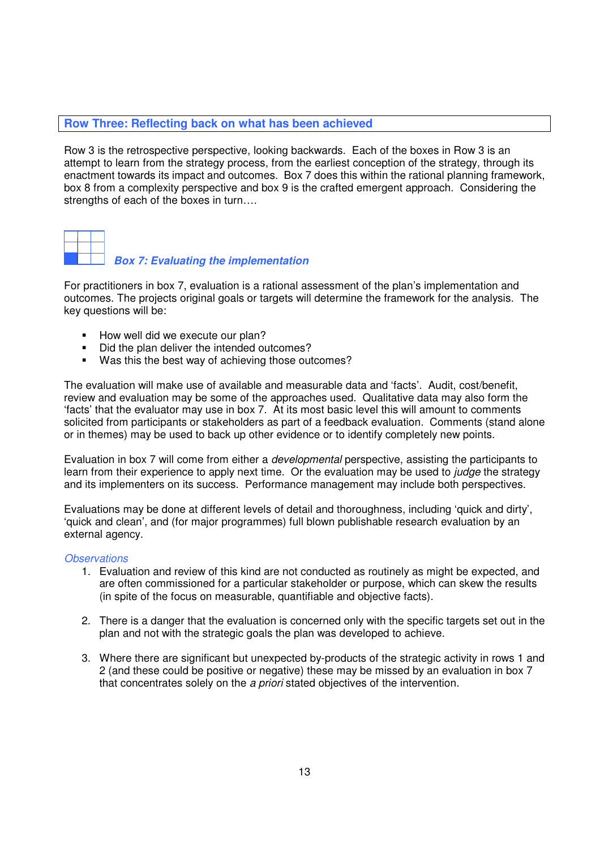#### **Row Three: Reflecting back on what has been achieved**

Row 3 is the retrospective perspective, looking backwards. Each of the boxes in Row 3 is an attempt to learn from the strategy process, from the earliest conception of the strategy, through its enactment towards its impact and outcomes. Box 7 does this within the rational planning framework, box 8 from a complexity perspective and box 9 is the crafted emergent approach. Considering the strengths of each of the boxes in turn….



#### **Box 7: Evaluating the implementation**

For practitioners in box 7, evaluation is a rational assessment of the plan's implementation and outcomes. The projects original goals or targets will determine the framework for the analysis. The key questions will be:

- How well did we execute our plan?
- Did the plan deliver the intended outcomes?
- Was this the best way of achieving those outcomes?

The evaluation will make use of available and measurable data and 'facts'. Audit, cost/benefit, review and evaluation may be some of the approaches used. Qualitative data may also form the 'facts' that the evaluator may use in box 7. At its most basic level this will amount to comments solicited from participants or stakeholders as part of a feedback evaluation. Comments (stand alone or in themes) may be used to back up other evidence or to identify completely new points.

Evaluation in box 7 will come from either a *developmental* perspective, assisting the participants to learn from their experience to apply next time. Or the evaluation may be used to *judge* the strategy and its implementers on its success. Performance management may include both perspectives.

Evaluations may be done at different levels of detail and thoroughness, including 'quick and dirty', 'quick and clean', and (for major programmes) full blown publishable research evaluation by an external agency.

#### **Observations**

- 1. Evaluation and review of this kind are not conducted as routinely as might be expected, and are often commissioned for a particular stakeholder or purpose, which can skew the results (in spite of the focus on measurable, quantifiable and objective facts).
- 2. There is a danger that the evaluation is concerned only with the specific targets set out in the plan and not with the strategic goals the plan was developed to achieve.
- 3. Where there are significant but unexpected by-products of the strategic activity in rows 1 and 2 (and these could be positive or negative) these may be missed by an evaluation in box 7 that concentrates solely on the a priori stated objectives of the intervention.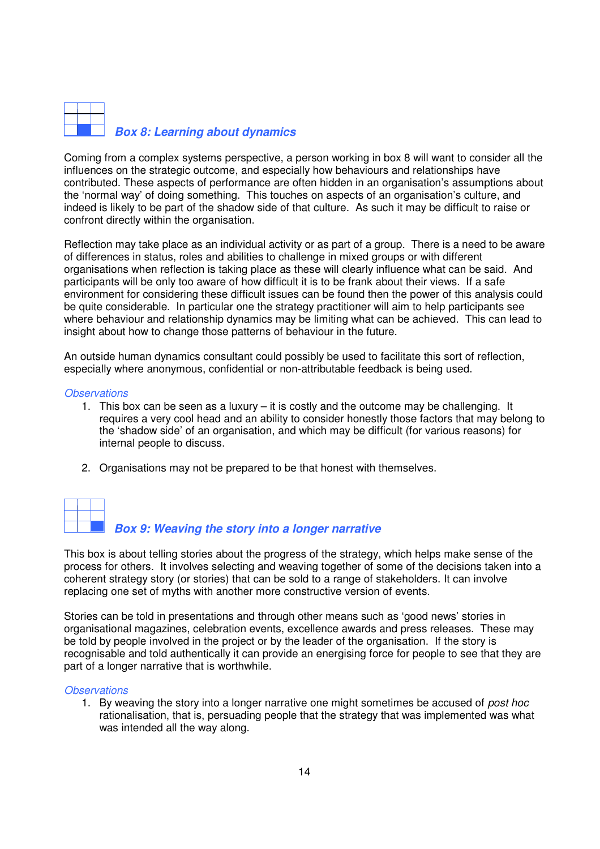

Coming from a complex systems perspective, a person working in box 8 will want to consider all the influences on the strategic outcome, and especially how behaviours and relationships have contributed. These aspects of performance are often hidden in an organisation's assumptions about the 'normal way' of doing something. This touches on aspects of an organisation's culture, and indeed is likely to be part of the shadow side of that culture. As such it may be difficult to raise or confront directly within the organisation.

Reflection may take place as an individual activity or as part of a group. There is a need to be aware of differences in status, roles and abilities to challenge in mixed groups or with different organisations when reflection is taking place as these will clearly influence what can be said. And participants will be only too aware of how difficult it is to be frank about their views. If a safe environment for considering these difficult issues can be found then the power of this analysis could be quite considerable. In particular one the strategy practitioner will aim to help participants see where behaviour and relationship dynamics may be limiting what can be achieved. This can lead to insight about how to change those patterns of behaviour in the future.

An outside human dynamics consultant could possibly be used to facilitate this sort of reflection, especially where anonymous, confidential or non-attributable feedback is being used.

#### **Observations**

- 1. This box can be seen as a luxury it is costly and the outcome may be challenging. It requires a very cool head and an ability to consider honestly those factors that may belong to the 'shadow side' of an organisation, and which may be difficult (for various reasons) for internal people to discuss.
- 2. Organisations may not be prepared to be that honest with themselves.



#### **Box 9: Weaving the story into a longer narrative**

This box is about telling stories about the progress of the strategy, which helps make sense of the process for others. It involves selecting and weaving together of some of the decisions taken into a coherent strategy story (or stories) that can be sold to a range of stakeholders. It can involve replacing one set of myths with another more constructive version of events.

Stories can be told in presentations and through other means such as 'good news' stories in organisational magazines, celebration events, excellence awards and press releases. These may be told by people involved in the project or by the leader of the organisation. If the story is recognisable and told authentically it can provide an energising force for people to see that they are part of a longer narrative that is worthwhile.

#### **Observations**

1. By weaving the story into a longer narrative one might sometimes be accused of post hoc rationalisation, that is, persuading people that the strategy that was implemented was what was intended all the way along.